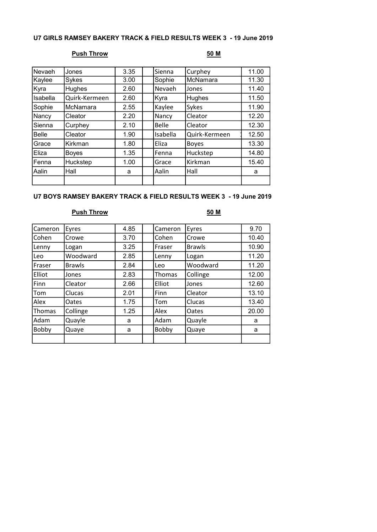## U7 GIRLS RAMSEY BAKERY TRACK & FIELD RESULTS WEEK 3 - 19 June 2019

# Push Throw 50 M

| Nevaeh       | Jones         | 3.35 | Sienna       | Curphey       | 11.00 |
|--------------|---------------|------|--------------|---------------|-------|
| Kaylee       | Sykes         | 3.00 | Sophie       | McNamara      | 11.30 |
| Kyra         | Hughes        | 2.60 | Nevaeh       | Jones         | 11.40 |
| Isabella     | Quirk-Kermeen | 2.60 | Kyra         | Hughes        | 11.50 |
| Sophie       | McNamara      | 2.55 | Kaylee       | Sykes         | 11.90 |
| Nancy        | Cleator       | 2.20 | Nancy        | Cleator       | 12.20 |
| Sienna       | Curphey       | 2.10 | <b>Belle</b> | Cleator       | 12.30 |
| <b>Belle</b> | Cleator       | 1.90 | Isabella     | Quirk-Kermeen | 12.50 |
| Grace        | Kirkman       | 1.80 | Eliza        | <b>Boyes</b>  | 13.30 |
| Eliza        | <b>Boyes</b>  | 1.35 | Fenna        | Huckstep      | 14.80 |
| Fenna        | Huckstep      | 1.00 | Grace        | Kirkman       | 15.40 |
| Aalin        | Hall          | a    | Aalin        | Hall          | a     |
|              |               |      |              |               |       |

## U7 BOYS RAMSEY BAKERY TRACK & FIELD RESULTS WEEK 3 - 19 June 2019

# Push Throw 50 M

| Cameron       | Eyres         | 4.85 | Cameron | Eyres         | 9.70  |
|---------------|---------------|------|---------|---------------|-------|
| Cohen         | Crowe         | 3.70 | Cohen   | Crowe         | 10.40 |
| Lenny         | Logan         | 3.25 | Fraser  | <b>Brawls</b> | 10.90 |
| Leo           | Woodward      | 2.85 | Lenny   | Logan         | 11.20 |
| Fraser        | <b>Brawls</b> | 2.84 | Leo     | Woodward      | 11.20 |
| Elliot        | Jones         | 2.83 | Thomas  | Collinge      | 12.00 |
| Finn          | Cleator       | 2.66 | Elliot  | Jones         | 12.60 |
| Tom           | Clucas        | 2.01 | Finn    | Cleator       | 13.10 |
| Alex          | Oates         | 1.75 | Tom     | Clucas        | 13.40 |
| <b>Thomas</b> | Collinge      | 1.25 | Alex    | Oates         | 20.00 |
| Adam          | Quayle        | a    | Adam    | Quayle        | a     |
| Bobby         | Quaye         | a    | Bobby   | Quaye         | a     |
|               |               |      |         |               |       |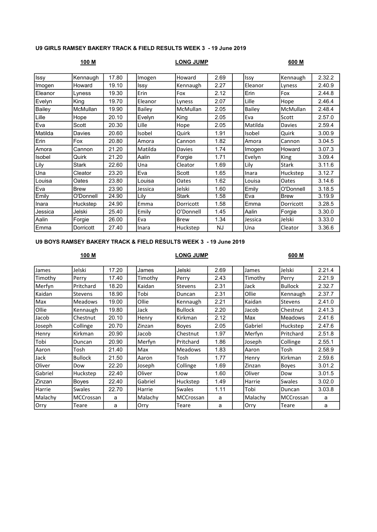### U9 GIRLS RAMSEY BAKERY TRACK & FIELD RESULTS WEEK 3 - 19 June 2019

## 100 M LONG JUMP 600 M

| <b>Issy</b>   | Kennaugh     | 17.80 | Imogen        | Howard       | 2.69 | Issy    | Kennaugh      | 2.32.2 |
|---------------|--------------|-------|---------------|--------------|------|---------|---------------|--------|
| Imogen        | Howard       | 19.10 | Issy          | Kennaugh     | 2.27 | Eleanor | Lyness        | 2.40.9 |
| Eleanor       | Lvness       | 19.30 | Erin          | Fox          | 2.12 | Erin    | Fox           | 2.44.8 |
| Evelyn        | King         | 19.70 | Eleanor       | Lyness       | 2.07 | Lille   | Hope          | 2.46.4 |
| <b>Bailey</b> | McMullan     | 19.90 | <b>Bailey</b> | McMullan     | 2.05 | Bailey  | McMullan      | 2.48.4 |
| Lille         | Hope         | 20.10 | Evelyn        | King         | 2.05 | Eva     | Scott         | 2.57.0 |
| Eva           | Scott        | 20.30 | Lille         | Hope         | 2.05 | Matilda | <b>Davies</b> | 2.59.4 |
| Matilda       | Davies       | 20.60 | Isobel        | Quirk        | 1.91 | Isobel  | Quirk         | 3.00.9 |
| Erin          | Fox          | 20.80 | Amora         | Cannon       | 1.82 | Amora   | Cannon        | 3.04.5 |
| Amora         | Cannon       | 21.20 | Matilda       | Davies       | 1.74 | Imogen  | Howard        | 3.07.3 |
| Isobel        | Quirk        | 21.20 | Aalin         | Forgie       | 1.71 | Evelyn  | King          | 3.09.4 |
| Lily          | <b>Stark</b> | 22.60 | Una           | Cleator      | 1.69 | Lily    | <b>Stark</b>  | 3.11.6 |
| Una           | Cleator      | 23.20 | Eva           | Scott        | 1.65 | Inara   | Huckstep      | 3.12.7 |
| Louisa        | Oates        | 23.80 | Louisa        | Oates        | 1.62 | Louisa  | Oates         | 3.14.6 |
| Eva           | <b>Brew</b>  | 23.90 | Jessica       | Jelski       | 1.60 | Emily   | O'Donnell     | 3.18.5 |
| Emily         | O'Donnell    | 24.90 | Lily          | <b>Stark</b> | 1.58 | Eva     | <b>Brew</b>   | 3.19.9 |
| Inara         | Huckstep     | 24.90 | Emma          | Dorricott    | 1.58 | Emma    | Dorricott     | 3.28.5 |
| Jessica       | Jelski       | 25.40 | Emily         | O'Donnell    | 1.45 | Aalin   | Forgie        | 3.30.0 |
| Aalin         | Forgie       | 26.00 | Eva           | <b>Brew</b>  | 1.34 | Jessica | Jelski        | 3.33.0 |
| Emma          | Dorricott    | 27.40 | Inara         | Huckstep     | NJ.  | Una     | Cleator       | 3.36.6 |

### U9 BOYS RAMSEY BAKERY TRACK & FIELD RESULTS WEEK 3 - 19 June 2019

## 100 M LONG JUMP 600 M

| James   | Jelski           | 17.20 | James   | Jelski         | 2.69 | James   | Jelski         | 2.21.4 |
|---------|------------------|-------|---------|----------------|------|---------|----------------|--------|
| Timothy | Perry            | 17.40 | Timothy | Perry          | 2.43 | Timothy | Perry          | 2.21.9 |
| Merfyn  | <b>Pritchard</b> | 18.20 | Kaidan  | Stevens        | 2.31 | Jack    | <b>Bullock</b> | 2.32.7 |
| Kaidan  | Stevens          | 18.90 | Tobi    | Duncan         | 2.31 | Ollie   | Kennaugh       | 2.37.7 |
| Max     | <b>Meadows</b>   | 19.00 | Ollie   | Kennaugh       | 2.21 | Kaidan  | <b>Stevens</b> | 2.41.0 |
| Ollie   | Kennaugh         | 19.80 | Jack    | <b>Bullock</b> | 2.20 | Jacob   | Chestnut       | 2.41.3 |
| Jacob   | Chestnut         | 20.10 | Henry   | Kirkman        | 2.12 | Max     | <b>Meadows</b> | 2.41.6 |
| Joseph  | Collinge         | 20.70 | Zinzan  | Boyes          | 2.05 | Gabriel | Huckstep       | 2.47.6 |
| Henry   | Kirkman          | 20.90 | Jacob   | Chestnut       | 1.97 | Merfyn  | Pritchard      | 2.51.8 |
| Tobi    | Duncan           | 20.90 | Merfyn  | Pritchard      | 1.86 | Joseph  | Collinge       | 2.55.1 |
| Aaron   | Tosh             | 21.40 | Max     | <b>Meadows</b> | 1.83 | Aaron   | Tosh           | 2.58.9 |
| Jack    | Bullock          | 21.50 | Aaron   | Tosh           | 1.77 | Henry   | Kirkman        | 2.59.6 |
| Oliver  | Dow              | 22.20 | Joseph  | Collinge       | 1.69 | Zinzan  | <b>Boyes</b>   | 3.01.2 |
| Gabriel | Huckstep         | 22.40 | Oliver  | Dow            | 1.60 | Oliver  | Dow            | 3.01.5 |
| Zinzan  | Boyes            | 22.40 | Gabriel | Huckstep       | 1.49 | Harrie  | Swales         | 3.02.0 |
| Harrie  | <b>Swales</b>    | 22.70 | Harrie  | <b>Swales</b>  | 1.11 | Tobi    | Duncan         | 3.03.8 |
| Malachy | MCCrossan        | a     | Malachy | MCCrossan      | a    | Malachy | MCCrossan      | a      |
| Orry    | Teare            | a     | Orry    | Teare          | a    | Orry    | Teare          | a      |
|         |                  |       |         |                |      |         |                |        |